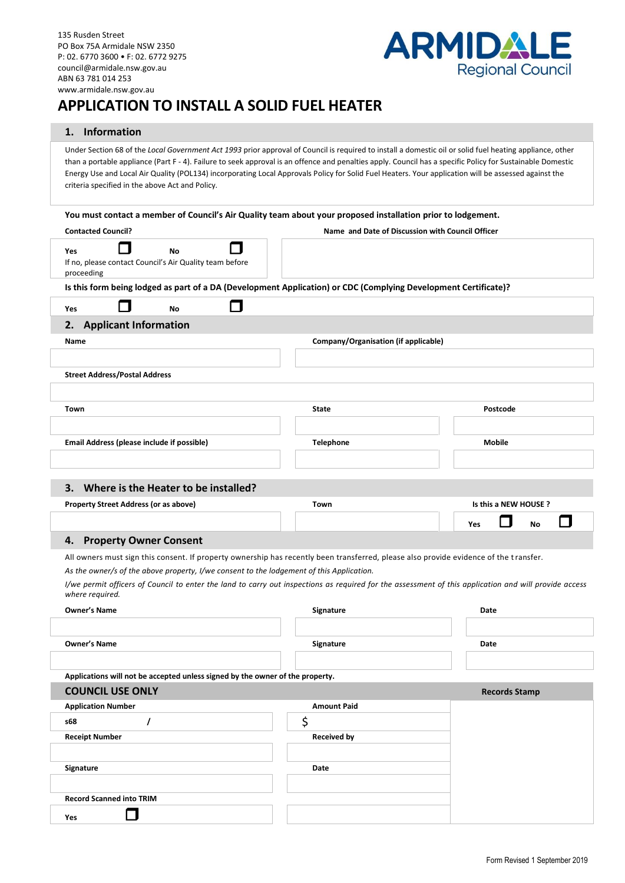

# **APPLICATION TO INSTALL A SOLID FUEL HEATER**

### **1. Information**

Yes **D** 

Under Section 68 of the *Local Government Act 1993* prior approval of Council is required to install a domestic oil or solid fuel heating appliance, other than a portable appliance (Part F - 4). Failure to seek approval is an offence and penalties apply. Council has a specific Policy for Sustainable Domestic Energy Use and Local Air Quality (POL134) incorporating Local Approvals Policy for Solid Fuel Heaters. Your application will be assessed against the criteria specified in the above Act and Policy.

| You must contact a member of Council's Air Quality team about your proposed installation prior to lodgement.                                                             |                                                  |                       |  |  |  |  |  |  |  |  |  |
|--------------------------------------------------------------------------------------------------------------------------------------------------------------------------|--------------------------------------------------|-----------------------|--|--|--|--|--|--|--|--|--|
| <b>Contacted Council?</b>                                                                                                                                                | Name and Date of Discussion with Council Officer |                       |  |  |  |  |  |  |  |  |  |
| <b>No</b><br>Yes                                                                                                                                                         |                                                  |                       |  |  |  |  |  |  |  |  |  |
| If no, please contact Council's Air Quality team before<br>proceeding                                                                                                    |                                                  |                       |  |  |  |  |  |  |  |  |  |
| Is this form being lodged as part of a DA (Development Application) or CDC (Complying Development Certificate)?                                                          |                                                  |                       |  |  |  |  |  |  |  |  |  |
| <b>No</b><br>Yes                                                                                                                                                         |                                                  |                       |  |  |  |  |  |  |  |  |  |
| <b>Applicant Information</b><br>2.                                                                                                                                       |                                                  |                       |  |  |  |  |  |  |  |  |  |
| Name                                                                                                                                                                     |                                                  |                       |  |  |  |  |  |  |  |  |  |
|                                                                                                                                                                          |                                                  |                       |  |  |  |  |  |  |  |  |  |
| <b>Street Address/Postal Address</b>                                                                                                                                     |                                                  |                       |  |  |  |  |  |  |  |  |  |
|                                                                                                                                                                          |                                                  |                       |  |  |  |  |  |  |  |  |  |
|                                                                                                                                                                          |                                                  |                       |  |  |  |  |  |  |  |  |  |
| Town                                                                                                                                                                     | <b>State</b>                                     | Postcode              |  |  |  |  |  |  |  |  |  |
|                                                                                                                                                                          |                                                  |                       |  |  |  |  |  |  |  |  |  |
| Email Address (please include if possible)                                                                                                                               | <b>Telephone</b>                                 | <b>Mobile</b>         |  |  |  |  |  |  |  |  |  |
|                                                                                                                                                                          |                                                  |                       |  |  |  |  |  |  |  |  |  |
|                                                                                                                                                                          |                                                  |                       |  |  |  |  |  |  |  |  |  |
| 3. Where is the Heater to be installed?                                                                                                                                  |                                                  |                       |  |  |  |  |  |  |  |  |  |
| Property Street Address (or as above)                                                                                                                                    | Town                                             | Is this a NEW HOUSE ? |  |  |  |  |  |  |  |  |  |
|                                                                                                                                                                          |                                                  | Yes<br>No             |  |  |  |  |  |  |  |  |  |
| <b>Property Owner Consent</b><br>4.                                                                                                                                      |                                                  |                       |  |  |  |  |  |  |  |  |  |
| All owners must sign this consent. If property ownership has recently been transferred, please also provide evidence of the transfer.                                    |                                                  |                       |  |  |  |  |  |  |  |  |  |
| As the owner/s of the above property, I/we consent to the lodgement of this Application.                                                                                 |                                                  |                       |  |  |  |  |  |  |  |  |  |
| I/we permit officers of Council to enter the land to carry out inspections as required for the assessment of this application and will provide access<br>where required. |                                                  |                       |  |  |  |  |  |  |  |  |  |
| <b>Owner's Name</b>                                                                                                                                                      | Signature                                        | Date                  |  |  |  |  |  |  |  |  |  |
|                                                                                                                                                                          |                                                  |                       |  |  |  |  |  |  |  |  |  |
| <b>Owner's Name</b>                                                                                                                                                      | Signature                                        | Date                  |  |  |  |  |  |  |  |  |  |
|                                                                                                                                                                          |                                                  |                       |  |  |  |  |  |  |  |  |  |
|                                                                                                                                                                          |                                                  |                       |  |  |  |  |  |  |  |  |  |
| Applications will not be accepted unless signed by the owner of the property.<br><b>COUNCIL USE ONLY</b>                                                                 |                                                  |                       |  |  |  |  |  |  |  |  |  |
|                                                                                                                                                                          |                                                  | <b>Records Stamp</b>  |  |  |  |  |  |  |  |  |  |
| <b>Application Number</b>                                                                                                                                                | <b>Amount Paid</b>                               |                       |  |  |  |  |  |  |  |  |  |
| s68<br>$\prime$                                                                                                                                                          | \$                                               |                       |  |  |  |  |  |  |  |  |  |
| <b>Receipt Number</b>                                                                                                                                                    | <b>Received by</b>                               |                       |  |  |  |  |  |  |  |  |  |
|                                                                                                                                                                          |                                                  |                       |  |  |  |  |  |  |  |  |  |
| Signature                                                                                                                                                                | Date                                             |                       |  |  |  |  |  |  |  |  |  |
|                                                                                                                                                                          |                                                  |                       |  |  |  |  |  |  |  |  |  |
|                                                                                                                                                                          |                                                  |                       |  |  |  |  |  |  |  |  |  |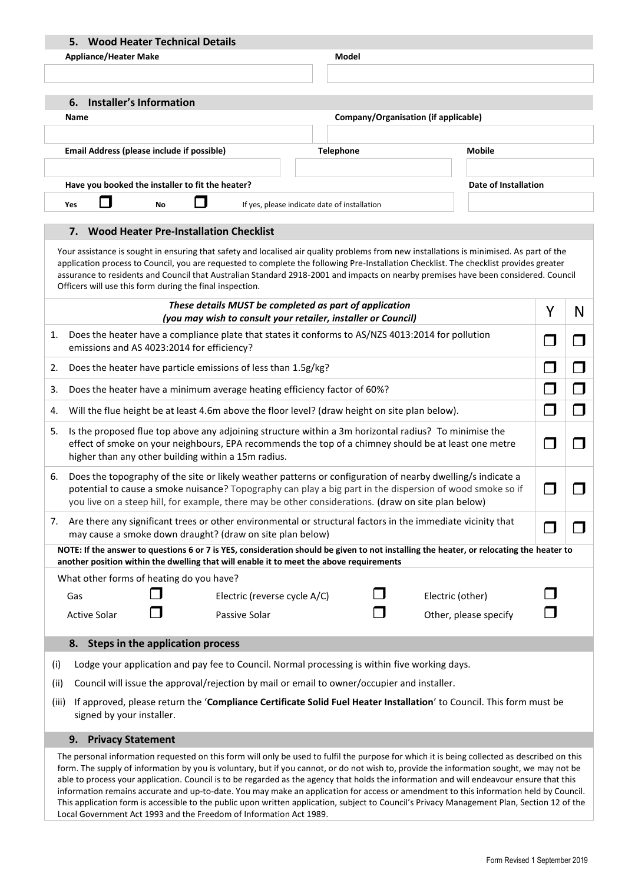|                                                                                                                                                                                                                                                                                                                                                                                                                                                                                                                                                                                                                                                                                                                                                                                                    | 5. Wood Heater Technical Details                                                              |                                         |  |                                                                                                                                         |                  |  |                                      |               |                       |   |   |  |
|----------------------------------------------------------------------------------------------------------------------------------------------------------------------------------------------------------------------------------------------------------------------------------------------------------------------------------------------------------------------------------------------------------------------------------------------------------------------------------------------------------------------------------------------------------------------------------------------------------------------------------------------------------------------------------------------------------------------------------------------------------------------------------------------------|-----------------------------------------------------------------------------------------------|-----------------------------------------|--|-----------------------------------------------------------------------------------------------------------------------------------------|------------------|--|--------------------------------------|---------------|-----------------------|---|---|--|
| <b>Appliance/Heater Make</b><br>Model                                                                                                                                                                                                                                                                                                                                                                                                                                                                                                                                                                                                                                                                                                                                                              |                                                                                               |                                         |  |                                                                                                                                         |                  |  |                                      |               |                       |   |   |  |
|                                                                                                                                                                                                                                                                                                                                                                                                                                                                                                                                                                                                                                                                                                                                                                                                    |                                                                                               |                                         |  |                                                                                                                                         |                  |  |                                      |               |                       |   |   |  |
|                                                                                                                                                                                                                                                                                                                                                                                                                                                                                                                                                                                                                                                                                                                                                                                                    |                                                                                               | <b>Installer's Information</b>          |  |                                                                                                                                         |                  |  |                                      |               |                       |   |   |  |
|                                                                                                                                                                                                                                                                                                                                                                                                                                                                                                                                                                                                                                                                                                                                                                                                    | 6.<br>Name                                                                                    |                                         |  |                                                                                                                                         |                  |  | Company/Organisation (if applicable) |               |                       |   |   |  |
|                                                                                                                                                                                                                                                                                                                                                                                                                                                                                                                                                                                                                                                                                                                                                                                                    |                                                                                               |                                         |  |                                                                                                                                         |                  |  |                                      |               |                       |   |   |  |
|                                                                                                                                                                                                                                                                                                                                                                                                                                                                                                                                                                                                                                                                                                                                                                                                    | Email Address (please include if possible)                                                    |                                         |  |                                                                                                                                         | <b>Telephone</b> |  |                                      |               | <b>Mobile</b>         |   |   |  |
|                                                                                                                                                                                                                                                                                                                                                                                                                                                                                                                                                                                                                                                                                                                                                                                                    |                                                                                               |                                         |  |                                                                                                                                         |                  |  |                                      |               |                       |   |   |  |
|                                                                                                                                                                                                                                                                                                                                                                                                                                                                                                                                                                                                                                                                                                                                                                                                    | Have you booked the installer to fit the heater?                                              |                                         |  |                                                                                                                                         |                  |  |                                      |               | Date of Installation  |   |   |  |
| If yes, please indicate date of installation<br>Yes<br>No                                                                                                                                                                                                                                                                                                                                                                                                                                                                                                                                                                                                                                                                                                                                          |                                                                                               |                                         |  |                                                                                                                                         |                  |  |                                      |               |                       |   |   |  |
|                                                                                                                                                                                                                                                                                                                                                                                                                                                                                                                                                                                                                                                                                                                                                                                                    |                                                                                               |                                         |  |                                                                                                                                         |                  |  |                                      |               |                       |   |   |  |
|                                                                                                                                                                                                                                                                                                                                                                                                                                                                                                                                                                                                                                                                                                                                                                                                    | 7. Wood Heater Pre-Installation Checklist                                                     |                                         |  |                                                                                                                                         |                  |  |                                      |               |                       |   |   |  |
| Your assistance is sought in ensuring that safety and localised air quality problems from new installations is minimised. As part of the<br>application process to Council, you are requested to complete the following Pre-Installation Checklist. The checklist provides greater<br>assurance to residents and Council that Australian Standard 2918-2001 and impacts on nearby premises have been considered. Council<br>Officers will use this form during the final inspection.                                                                                                                                                                                                                                                                                                               |                                                                                               |                                         |  |                                                                                                                                         |                  |  |                                      |               |                       |   |   |  |
|                                                                                                                                                                                                                                                                                                                                                                                                                                                                                                                                                                                                                                                                                                                                                                                                    |                                                                                               |                                         |  | These details MUST be completed as part of application                                                                                  |                  |  |                                      |               |                       | Y | N |  |
|                                                                                                                                                                                                                                                                                                                                                                                                                                                                                                                                                                                                                                                                                                                                                                                                    |                                                                                               |                                         |  | (you may wish to consult your retailer, installer or Council)                                                                           |                  |  |                                      |               |                       |   |   |  |
| Does the heater have a compliance plate that states it conforms to AS/NZS 4013:2014 for pollution<br>1.<br>emissions and AS 4023:2014 for efficiency?                                                                                                                                                                                                                                                                                                                                                                                                                                                                                                                                                                                                                                              |                                                                                               |                                         |  |                                                                                                                                         |                  |  |                                      | $\mathcal{L}$ |                       |   |   |  |
| Does the heater have particle emissions of less than 1.5g/kg?<br>2.                                                                                                                                                                                                                                                                                                                                                                                                                                                                                                                                                                                                                                                                                                                                |                                                                                               |                                         |  |                                                                                                                                         |                  |  |                                      |               |                       |   |   |  |
| Does the heater have a minimum average heating efficiency factor of 60%?<br>3.                                                                                                                                                                                                                                                                                                                                                                                                                                                                                                                                                                                                                                                                                                                     |                                                                                               |                                         |  |                                                                                                                                         |                  |  |                                      |               |                       |   |   |  |
| Will the flue height be at least 4.6m above the floor level? (draw height on site plan below).<br>4.                                                                                                                                                                                                                                                                                                                                                                                                                                                                                                                                                                                                                                                                                               |                                                                                               |                                         |  |                                                                                                                                         |                  |  |                                      | $\Box$        |                       |   |   |  |
| Is the proposed flue top above any adjoining structure within a 3m horizontal radius? To minimise the<br>5.<br>effect of smoke on your neighbours, EPA recommends the top of a chimney should be at least one metre<br>higher than any other building within a 15m radius.                                                                                                                                                                                                                                                                                                                                                                                                                                                                                                                         |                                                                                               |                                         |  |                                                                                                                                         |                  |  |                                      |               |                       |   |   |  |
| Does the topography of the site or likely weather patterns or configuration of nearby dwelling/s indicate a<br>6.<br>potential to cause a smoke nuisance? Topography can play a big part in the dispersion of wood smoke so if<br>you live on a steep hill, for example, there may be other considerations. (draw on site plan below)                                                                                                                                                                                                                                                                                                                                                                                                                                                              |                                                                                               |                                         |  |                                                                                                                                         |                  |  |                                      |               |                       |   |   |  |
| Are there any significant trees or other environmental or structural factors in the immediate vicinity that<br>7.<br>may cause a smoke down draught? (draw on site plan below)                                                                                                                                                                                                                                                                                                                                                                                                                                                                                                                                                                                                                     |                                                                                               |                                         |  |                                                                                                                                         |                  |  |                                      |               |                       |   |   |  |
|                                                                                                                                                                                                                                                                                                                                                                                                                                                                                                                                                                                                                                                                                                                                                                                                    |                                                                                               |                                         |  | NOTE: If the answer to questions 6 or 7 is YES, consideration should be given to not installing the heater, or relocating the heater to |                  |  |                                      |               |                       |   |   |  |
|                                                                                                                                                                                                                                                                                                                                                                                                                                                                                                                                                                                                                                                                                                                                                                                                    |                                                                                               |                                         |  | another position within the dwelling that will enable it to meet the above requirements                                                 |                  |  |                                      |               |                       |   |   |  |
|                                                                                                                                                                                                                                                                                                                                                                                                                                                                                                                                                                                                                                                                                                                                                                                                    | What other forms of heating do you have?                                                      |                                         |  |                                                                                                                                         |                  |  |                                      |               |                       |   |   |  |
|                                                                                                                                                                                                                                                                                                                                                                                                                                                                                                                                                                                                                                                                                                                                                                                                    | Gas                                                                                           |                                         |  | Electric (reverse cycle A/C)                                                                                                            |                  |  | Electric (other)                     |               |                       |   |   |  |
|                                                                                                                                                                                                                                                                                                                                                                                                                                                                                                                                                                                                                                                                                                                                                                                                    | <b>Active Solar</b>                                                                           |                                         |  | Passive Solar                                                                                                                           |                  |  |                                      |               | Other, please specify |   |   |  |
|                                                                                                                                                                                                                                                                                                                                                                                                                                                                                                                                                                                                                                                                                                                                                                                                    | 8.                                                                                            | <b>Steps in the application process</b> |  |                                                                                                                                         |                  |  |                                      |               |                       |   |   |  |
| (i)                                                                                                                                                                                                                                                                                                                                                                                                                                                                                                                                                                                                                                                                                                                                                                                                | Lodge your application and pay fee to Council. Normal processing is within five working days. |                                         |  |                                                                                                                                         |                  |  |                                      |               |                       |   |   |  |
| (ii)                                                                                                                                                                                                                                                                                                                                                                                                                                                                                                                                                                                                                                                                                                                                                                                               | Council will issue the approval/rejection by mail or email to owner/occupier and installer.   |                                         |  |                                                                                                                                         |                  |  |                                      |               |                       |   |   |  |
| If approved, please return the 'Compliance Certificate Solid Fuel Heater Installation' to Council. This form must be<br>(iii)<br>signed by your installer.                                                                                                                                                                                                                                                                                                                                                                                                                                                                                                                                                                                                                                         |                                                                                               |                                         |  |                                                                                                                                         |                  |  |                                      |               |                       |   |   |  |
|                                                                                                                                                                                                                                                                                                                                                                                                                                                                                                                                                                                                                                                                                                                                                                                                    | 9.<br><b>Privacy Statement</b>                                                                |                                         |  |                                                                                                                                         |                  |  |                                      |               |                       |   |   |  |
| The personal information requested on this form will only be used to fulfil the purpose for which it is being collected as described on this<br>form. The supply of information by you is voluntary, but if you cannot, or do not wish to, provide the information sought, we may not be<br>able to process your application. Council is to be regarded as the agency that holds the information and will endeavour ensure that this<br>information remains accurate and up-to-date. You may make an application for access or amendment to this information held by Council.<br>This application form is accessible to the public upon written application, subject to Council's Privacy Management Plan, Section 12 of the<br>Local Government Act 1993 and the Freedom of Information Act 1989. |                                                                                               |                                         |  |                                                                                                                                         |                  |  |                                      |               |                       |   |   |  |